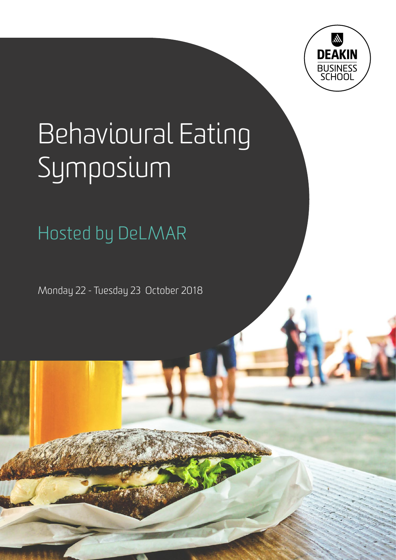

# Behavioural Eating Symposium

Hosted by DeLMAR

Monday 22 - Tuesday 23 October 2018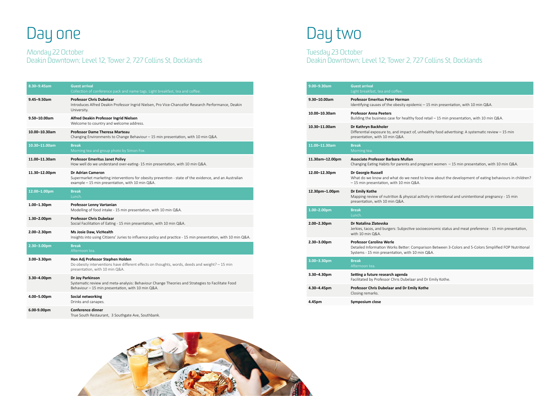| 8.30-9.45am      | <b>Guest arrival</b><br>Collection of conference pack and name tags. Light breakfast, tea and coffee.                                                                                |
|------------------|--------------------------------------------------------------------------------------------------------------------------------------------------------------------------------------|
| 9.45-9.50am      | <b>Professor Chris Dubelaar</b><br>Introduces Alfred Deakin Professor Ingrid Nielsen, Pro Vice-Chancellor Research Performance, Deakin<br>University.                                |
| 9.50-10.00am     | Alfred Deakin Professor Ingrid Nielsen<br>Welcome to country and welcome address.                                                                                                    |
| 10.00-10.30am    | <b>Professor Dame Theresa Marteau</b><br>Changing Environments to Change Behaviour – 15 min presentation, with 10 min Q&A.                                                           |
| 10.30-11.00am    | <b>Break</b><br>Morning tea and group photo by Simon Fox.                                                                                                                            |
| 11.00-11.30am    | <b>Professor Emeritus Janet Polivy</b><br>How well do we understand over-eating- 15 min presentation, with 10 min Q&A.                                                               |
| 11.30-12.00pm    | <b>Dr Adrian Cameron</b><br>Supermarket marketing interventions for obesity prevention - state of the evidence, and an Australian<br>example - 15 min presentation, with 10 min Q&A. |
| 12.00-1.00pm     | <b>Break</b><br>Lunch.                                                                                                                                                               |
| $1.00 - 1.30$ pm | <b>Professor Lenny Vartanian</b><br>Modelling of food intake - 15 min presentation, with 10 min Q&A.                                                                                 |
| $1.30 - 2.00$ pm | <b>Professor Chris Dubelaar</b><br>Social Facilitation of Eating - 15 min presentation, with 10 min Q&A.                                                                             |
| $2.00 - 2.30$ pm | Ms Josie Daw, VicHealth<br>Insights into using Citizens' Juries to influence policy and practice - 15 min presentation, with 10 min Q&A.                                             |
| $2.30 - 3.00$ pm | <b>Break</b><br>Afternoon tea.                                                                                                                                                       |
| $3.00 - 3.30$ pm | Hon Adj Professor Stephen Holden<br>Do obesity interventions have different effects on thoughts, words, deeds and weight? - 15 min<br>presentation, with 10 min Q&A.                 |
| 3.30-4.00pm      | Dr Joy Parkinson<br>Systematic review and meta-analysis: Behaviour Change Theories and Strategies to Facilitate Food<br>Behaviour – 15 min presentation, with 10 min Q&A.            |
| 4.00-5.00pm      | Social networking<br>Drinks and canapes.                                                                                                                                             |
| 6.00-9.00pm      | <b>Conference dinner</b><br>True South Restaurant, 3 Southgate Ave, Southbank.                                                                                                       |

## Day one Day two

### Monday 22 October Deakin Downtown; Level 12, Tower 2, 727 Collins St, Docklands

Tuesday 23 October Deakin Downtown; Level 12, Tower 2, 727 Collins St, Docklands

| $9.00 - 9.30$ am  | <b>Guest arrival</b><br>Light breakfast, tea and coffee.                                                                        |
|-------------------|---------------------------------------------------------------------------------------------------------------------------------|
| $9.30 - 10.00$ am | <b>Professor Emeritus Peter Herman</b><br>Identifying causes of the obesity epidemic $-1$                                       |
| 10.00-10.30am     | <b>Professor Anna Peeters</b><br>Building the business case for healthy food ret                                                |
| 10.30-11.00am     | Dr Kathryn Backholer<br>Differential exposure to, and impact of, unhea<br>presentation, with 10 min Q&A.                        |
| 11.00-11.30am     | <b>Break</b><br>Morning tea.                                                                                                    |
| 11.30am-12.00pm   | Associate Professor Barbara Mullan<br>Changing Eating Habits for parents and pregna                                             |
| 12.00-12.30pm     | Dr Georgie Russell<br>What do we know and what do we need to kn<br>-15 min presentation, with 10 min Q&A.                       |
| 12.30pm-1.00pm    | Dr Emily Kothe<br>Mapping review of nutrition & physical activity<br>presentation, with 10 min Q&A.                             |
| $1.00 - 2.00$ pm  | <b>Break</b><br>Lunch.                                                                                                          |
| $2.00 - 2.30$ pm  | Dr Natalina Zlatevska<br>Jerkies, tacos, and burgers: Subjective socioec<br>with 10 min Q&A.                                    |
| $2.30 - 3.00$ pm  | <b>Professor Carolina Werle</b><br>Detailed Information Works Better: Compariso<br>Systems - 15 min presentation, with 10 min Q |
| $3.00 - 3.30$ pm  | <b>Break</b><br>Afternoon tea.                                                                                                  |
| $3.30 - 4.30$ pm  | Setting a future research agenda<br>Facilitated by Professor Chris Dubelaar and Dr                                              |
| 4.30-4.45pm       | Professor Chris Dubelaar and Dr Emily Kothe<br>Closing remarks.                                                                 |
| 4.45pm            | Symposium close                                                                                                                 |



 $-15$  min presentation, with 10 min Q&A.

 $R$ retail – 15 min presentation, with 10 min Q&A.

 $\alpha$  ealthy food advertising: A systematic review – 15 min

egnant women – 15 min presentation, with 10 min Q&A.

know about the development of eating behaviours in children?

ivity in intentional and unintentional pregnancy - 15 min

Jeconomic status and meat preference - 15 min presentation,

rison Between 3-Colors and 5-Colors Simplified FOP Nutritional  $0.08A$ 

Facily Kothe.